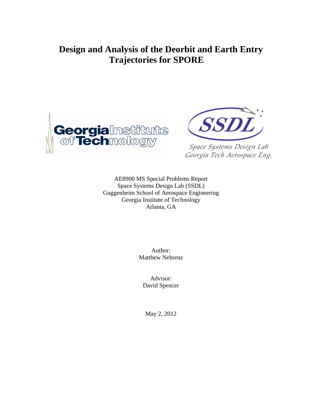# **Design and Analysis of the Deorbit and Earth Entry Trajectories for SPORE**





Space Systems Design Lab Georgia Tech Aerospace Eng.

AE8900 MS Special Problems Report Space Systems Design Lab (SSDL) Guggenheim School of Aerospace Engineering Georgia Institute of Technology Atlanta, GA

> Author: Matthew Nehrenz

Advisor: David Spencer

May 2, 2012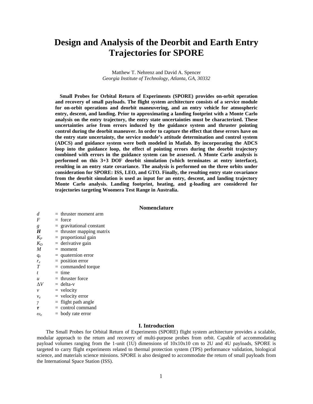# **Design and Analysis of the Deorbit and Earth Entry Trajectories for SPORE**

Matthew T. Nehrenz and David A. Spencer *Georgia Institute of Technology, Atlanta, GA, 30332*

**Small Probes for Orbital Return of Experiments (SPORE) provides on-orbit operation and recovery of small payloads. The flight system architecture consists of a service module for on-orbit operations and deorbit maneuvering, and an entry vehicle for atmospheric entry, descent, and landing. Prior to approximating a landing footprint with a Monte Carlo analysis on the entry trajectory, the entry state uncertainties must be characterized. These uncertainties arise from errors induced by the guidance system and thruster pointing control during the deorbit maneuver. In order to capture the effect that these errors have on the entry state uncertainty, the service module's attitude determination and control system (ADCS) and guidance system were both modeled in Matlab. By incorporating the ADCS loop into the guidance loop, the effect of pointing errors during the deorbit trajectory combined with errors in the guidance system can be assessed. A Monte Carlo analysis is performed on this 3+3 DOF deorbit simulation (which terminates at entry interface), resulting in an entry state covariance. The analysis is performed on the three orbits under consideration for SPORE: ISS, LEO, and GTO. Finally, the resulting entry state covariance from the deorbit simulation is used as input for an entry, descent, and landing trajectory Monte Carlo analysis. Landing footprint, heating, and g-loading are considered for trajectories targeting Woomera Test Range in Australia.**

## **Nomenclature**

| d.                                  | $=$ thruster moment arm     |
|-------------------------------------|-----------------------------|
| F                                   | $=$ force                   |
| g                                   | $=$ gravitational constant  |
| H                                   | $=$ thruster mapping matrix |
| $K_P$                               | $=$ proportional gain       |
| $K_D$                               | $=$ derivative gain         |
| M                                   | $=$ moment                  |
| $q_e$                               | $=$ quaternion error        |
| $r_e$                               | $=$ position error          |
| T                                   | $=$ commanded torque        |
| t.                                  | $=$ time                    |
| $\boldsymbol{u}$                    | $=$ thruster force          |
| $\Delta V$                          | $=$ delta-v                 |
| ν                                   | $=$ velocity                |
| $v_e$                               | $=$ velocity error          |
| γ                                   | $=$ flight path angle       |
| τ                                   | $=$ control command         |
| $\omega_{\scriptscriptstyle{\rho}}$ | $=$ body rate error         |
|                                     |                             |

### **I. Introduction**

The Small Probes for Orbital Return of Experiments (SPORE) flight system architecture provides a scalable, modular approach to the return and recovery of multi-purpose probes from orbit. Capable of accommodating payload volumes ranging from the 1-unit (1U) dimensions of 10x10x10 cm to 2U and 4U payloads, SPORE is targeted to carry flight experiments related to thermal protection system (TPS) performance validation, biological science, and materials science missions. SPORE is also designed to accommodate the return of small payloads from the International Space Station (ISS).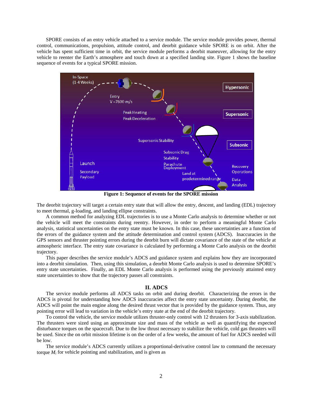SPORE consists of an entry vehicle attached to a service module. The service module provides power, thermal control, communications, propulsion, attitude control, and deorbit guidance while SPORE is on orbit. After the vehicle has spent sufficient time in orbit, the service module performs a deorbit maneuver, allowing for the entry vehicle to reenter the Earth's atmosphere and touch down at a specified landing site. [Figure 1](#page-2-0) shows the baseline sequence of events for a typical SPORE mission.



**Figure 1: Sequence of events for the SPORE mission**

<span id="page-2-0"></span>The deorbit trajectory will target a certain entry state that will allow the entry, descent, and landing (EDL) trajectory to meet thermal, g-loading, and landing ellipse constraints.

A common method for analyzing EDL trajectories is to use a Monte Carlo analysis to determine whether or not the vehicle will meet the constraints during reentry. However, in order to perform a meaningful Monte Carlo analysis, statistical uncertainties on the entry state must be known. In this case, these uncertainties are a function of the errors of the guidance system and the attitude determination and control system (ADCS). Inaccuracies in the GPS sensors and thruster pointing errors during the deorbit burn will dictate covariance of the state of the vehicle at atmospheric interface. The entry state covariance is calculated by performing a Monte Carlo analysis on the deorbit trajectory.

This paper describes the service module's ADCS and guidance system and explains how they are incorporated into a deorbit simulation. Then, using this simulation, a deorbit Monte Carlo analysis is used to determine SPORE's entry state uncertainties. Finally, an EDL Monte Carlo analysis is performed using the previously attainted entry state uncertainties to show that the trajectory passes all constraints.

### **II. ADCS**

The service module performs all ADCS tasks on orbit and during deorbit. Characterizing the errors in the ADCS is pivotal for understanding how ADCS inaccuracies affect the entry state uncertainty. During deorbit, the ADCS will point the main engine along the desired thrust vector that is provided by the guidance system. Thus, any pointing error will lead to variation in the vehicle's entry state at the end of the deorbit trajectory.

To control the vehicle, the service module utilizes thruster-only control with 12 thrusters for 3-axis stabilization. The thrusters were sized using an approximate size and mass of the vehicle as well as quantifying the expected disturbance torques on the spacecraft. Due to the low thrust necessary to stabilize the vehicle, cold gas thrusters will be used. Since the on orbit mission lifetime is on the order of a few weeks, the amount of fuel for ADCS needed will be low.

The service module's ADCS currently utilizes a proportional-derivative control law to command the necessary torque  $M_i$  for vehicle pointing and stabilization, and is given as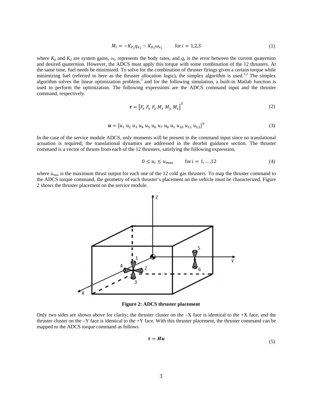$$
M_i = -K_{P_i}q_{e_i} - K_{D_i}\omega_{e_i} \qquad \text{for } i = 1, 2, 3
$$
 (1)

where  $K_p$  and  $K_d$  are system gains,  $\omega_e$  represents the body rates, and  $q_e$  is the error between the current quaternion and desired quaternion. However, the ADCS must apply this torque with some combination of the 12 thrusters. At the same time, fuel needs be minimized. To solve for the combination of thruster firings given a certain torque while minimizing fuel (referred to here as the thruster allocation logic), the simplex algorithm is used.<sup>1,2</sup> The simplex algorithm solves the linear optimization problem,<sup>3</sup> and for the following simulation, a built-in Matlab function is used to perform the optimization. The following expressions are the ADCS command input and the thruster command, respectively.

$$
\boldsymbol{\tau} = \left[ F_x \ F_y \ F_z \ M_x \ M_y \ M_z \right]^{\mathrm{T}}
$$
 (2)

$$
\mathbf{u} = [u_1 \, u_2 \, u_3 \, u_4 \, u_5 \, u_6 \, u_7 \, u_8 \, u_1 \, u_{10} \, u_{11} \, u_{12}]^T
$$
\n(3)

In the case of the service module ADCS, only moments will be present in the command input since no translational actuation is required; the translational dynamics are addressed in the deorbit guidance section. The thruster command is a vector of thrusts from each of the 12 thrusters, satisfying the following expression,

$$
0 \le u_i \le u_{max} \qquad \text{for } i = 1, \dots, 12 \tag{4}
$$

where  $u_{max}$  is the maximum thrust output for each one of the 12 cold gas thrusters. To map the thruster command to the ADCS torque command, the geometry of each thruster's placement on the vehicle must be characterized. [Figure](#page-3-0)  [2](#page-3-0) shows the thruster placement on the service module.



**Figure 2: ADCS thruster placement**

<span id="page-3-0"></span>Only two sides are shown above for clarity; the thruster cluster on the  $-X$  face is identical to the  $+X$  face, and the thruster cluster on the  $-Y$  face is identical to the  $+Y$  face. With this thruster placement, the thruster command can be mapped to the ADCS torque command as follows

$$
\tau = Hu \tag{5}
$$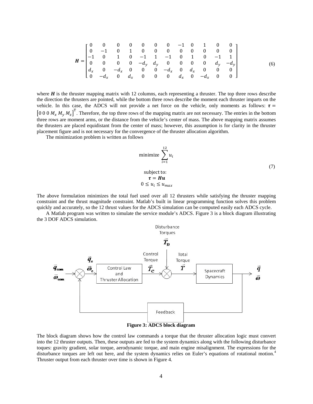$$
\mathbf{H} = \begin{bmatrix} 0 & 0 & 0 & 0 & 0 & 0 & 0 & -1 & 0 & 1 & 0 & 0 \\ 0 & -1 & 0 & 1 & 0 & 0 & 0 & 0 & 0 & 0 & 0 & 0 \\ -1 & 0 & 1 & 0 & -1 & 1 & -1 & 0 & 1 & 0 & -1 & 1 \\ 0 & 0 & 0 & 0 & -d_{y} & d_{y} & 0 & 0 & 0 & d_{y} & -d_{y} \\ d_{x} & 0 & -d_{x} & 0 & 0 & 0 & -d_{x} & 0 & d_{x} & 0 & 0 & 0 \\ 0 & -d_{x} & 0 & d_{x} & 0 & 0 & 0 & d_{x} & 0 & -d_{x} & 0 & 0 \end{bmatrix}
$$
(6)

where  $H$  is the thruster mapping matrix with 12 columns, each representing a thruster. The top three rows describe the direction the thrusters are pointed, while the bottom three rows describe the moment each thruster imparts on the vehicle. In this case, the ADCS will not provide a net force on the vehicle, only moments as follows:  $\tau$  =  $[0\ 0\ 0\ M_x\ M_y\ M_z]^T$ . Therefore, the top three rows of the mapping matrix are not necessary. The entries in the bottom three rows are moment arms, or the distance from the vehicle's center of mass. The above mapping matrix assumes the thrusters are placed equidistant from the center of mass; however, this assumption is for clarity in the thruster placement figure and is not necessary for the convergence of the thruster allocation algorithm.

The minimization problem is written as follows

minimize 
$$
\sum_{i=1}^{12} u_i
$$
  
subject to:  

$$
\tau = Hu
$$

$$
0 \le u_i \le u_{max}
$$
 (7)

The above formulation minimizes the total fuel used over all 12 thrusters while satisfying the thruster mapping constraint and the thrust magnitude constraint. Matlab's built in linear programming function solves this problem quickly and accurately, so the 12 thrust values for the ADCS simulation can be computed easily each ADCS cycle.

A Matlab program was written to simulate the service module's ADCS. [Figure 3](#page-4-0) is a block diagram illustrating the 3 DOF ADCS simulation.



<span id="page-4-0"></span>The block diagram shows how the control law commands a torque that the thruster allocation logic must convert into the 12 thruster outputs. Then, these outputs are fed to the system dynamics along with the following disturbance toques: gravity gradient, solar torque, aerodynamic torque, and main engine misalignment. The expressions for the disturbance torques are left out here, and the system dynamics relies on Euler's equations of rotational motion.<sup>4</sup> Thruster output from each thruster over time is shown in [Figure 4.](#page-5-0)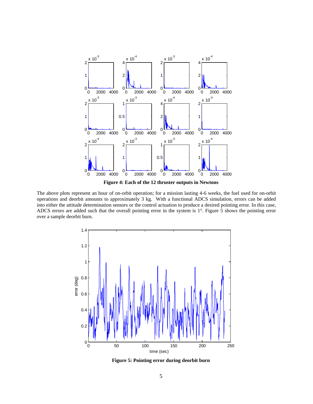

**Figure 4: Each of the 12 thruster outputs in Newtons**

<span id="page-5-0"></span>The above plots represent an hour of on-orbit operation; for a mission lasting 4-6 weeks, the fuel used for on-orbit operations and deorbit amounts to approximately 3 kg. With a functional ADCS simulation, errors can be added into either the attitude determination sensors or the control actuation to produce a desired pointing error. In this case, ADCS errors are added such that the overall pointing error in the system is 1°. [Figure 5](#page-5-1) shows the pointing error over a sample deorbit burn.



<span id="page-5-1"></span>**Figure 5: Pointing error during deorbit burn**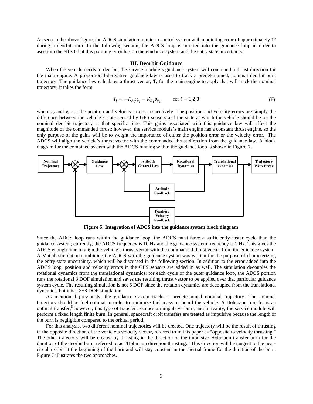As seen in the above figure, the ADCS simulation mimics a control system with a pointing error of approximately 1<sup>°</sup> during a deorbit burn. In the following section, the ADCS loop is inserted into the guidance loop in order to ascertain the effect that this pointing error has on the guidance system and the entry state uncertainty.

#### **III. Deorbit Guidance**

When the vehicle needs to deorbit, the service module's guidance system will command a thrust direction for the main engine. A proportional-derivative guidance law is used to track a predetermined, nominal deorbit burn trajectory. The guidance law calculates a thrust vector, *T*, for the main engine to apply that will track the nominal trajectory; it takes the form

$$
T_i = -K_{P_i} r_{e_i} - K_{D_i} v_{e_i} \qquad \text{for } i = 1, 2, 3
$$
 (8)

where  $r_e$  and  $v_e$  are the position and velocity errors, respectively. The position and velocity errors are simply the difference between the vehicle's state sensed by GPS sensors and the state at which the vehicle should be on the nominal deorbit trajectory at that specific time. This gains associated with this guidance law will affect the magnitude of the commanded thrust; however, the service module's main engine has a constant thrust engine, so the only purpose of the gains will be to weight the importance of either the position error or the velocity error. The ADCS will align the vehicle's thrust vector with the commanded thrust direction from the guidance law. A block diagram for the combined system with the ADCS running within the guidance loop is shown in [Figure 6.](#page-6-0)



**Figure 6: Integration of ADCS into the guidance system block diagram**

<span id="page-6-0"></span>Since the ADCS loop runs within the guidance loop, the ADCS must have a sufficiently faster cycle than the guidance system; currently, the ADCS frequency is 10 Hz and the guidance system frequency is 1 Hz. This gives the ADCS enough time to align the vehicle's thrust vector with the commanded thrust vector from the guidance system. A Matlab simulation combining the ADCS with the guidance system was written for the purpose of characterizing the entry state uncertainty, which will be discussed in the following section. In addition to the error added into the ADCS loop, position and velocity errors in the GPS sensors are added in as well. The simulation decouples the rotational dynamics from the translational dynamics: for each cycle of the outer guidance loop, the ADCS portion runs the rotational 3 DOF simulation and saves the resulting thrust vector to be applied over that particular guidance system cycle. The resulting simulation is not 6 DOF since the rotation dynamics are decoupled from the translational dynamics, but it is a 3+3 DOF simulation.

As mentioned previously, the guidance system tracks a predetermined nominal trajectory. The nominal trajectory should be fuel optimal in order to minimize fuel mass on board the vehicle. A Hohmann transfer is an optimal transfer;<sup>5</sup> however, this type of transfer assumes an impulsive burn, and in reality, the service module will perform a fixed length finite burn. In general, spacecraft orbit transfers are treated as impulsive because the length of the burn is negligible compared to the orbital period.

For this analysis, two different nominal trajectories will be created. One trajectory will be the result of thrusting in the opposite direction of the vehicle's velocity vector, referred to in this paper as "opposite to velocity thrusting." The other trajectory will be created by thrusting in the direction of the impulsive Hohmann transfer burn for the duration of the deorbit burn, referred to as "Hohmann direction thrusting." This direction will be tangent to the nearcircular orbit at the beginning of the burn and will stay constant in the inertial frame for the duration of the burn. [Figure 7](#page-7-0) illustrates the two approaches.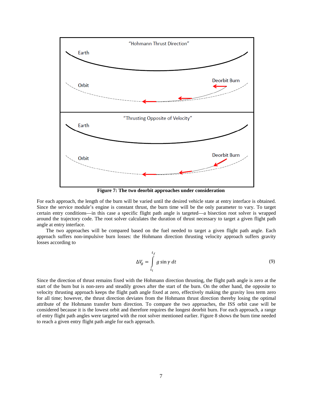

**Figure 7: The two deorbit approaches under consideration**

<span id="page-7-0"></span>For each approach, the length of the burn will be varied until the desired vehicle state at entry interface is obtained. Since the service module's engine is constant thrust, the burn time will be the only parameter to vary. To target certain entry conditions—in this case a specific flight path angle is targeted—a bisection root solver is wrapped around the trajectory code. The root solver calculates the duration of thrust necessary to target a given flight path angle at entry interface.

The two approaches will be compared based on the fuel needed to target a given flight path angle. Each approach suffers non-impulsive burn losses: the Hohmann direction thrusting velocity approach suffers gravity losses according to

$$
\Delta V_g = \int\limits_{t_i}^{t_f} g \sin \gamma \, dt \tag{9}
$$

Since the direction of thrust remains fixed with the Hohmann direction thrusting, the flight path angle is zero at the start of the burn but is non-zero and steadily grows after the start of the burn. On the other hand, the opposite to velocity thrusting approach keeps the flight path angle fixed at zero, effectively making the gravity loss term zero for all time; however, the thrust direction deviates from the Hohmann thrust direction thereby losing the optimal attribute of the Hohmann transfer burn direction. To compare the two approaches, the ISS orbit case will be considered because it is the lowest orbit and therefore requires the longest deorbit burn. For each approach, a range of entry flight path angles were targeted with the root solver mentioned earlier. [Figure 8](#page-8-0) shows the burn time needed to reach a given entry flight path angle for each approach.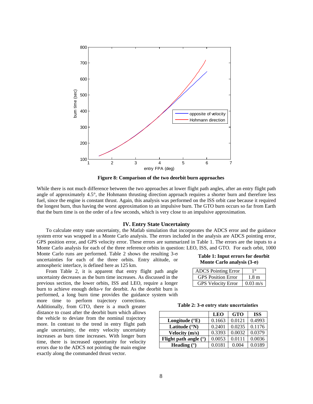

**Figure 8: Comparison of the two deorbit burn approaches**

<span id="page-8-0"></span>While there is not much difference between the two approaches at lower flight path angles, after an entry flight path angle of approximately 4.5°, the Hohmann thrusting direction approach requires a shorter burn and therefore less fuel, since the engine is constant thrust. Again, this analysis was performed on the ISS orbit case because it required the longest burn, thus having the worst approximation to an impulsive burn. The GTO burn occurs so far from Earth that the burn time is on the order of a few seconds, which is very close to an impulsive approximation.

### **IV. Entry State Uncertainty**

To calculate entry state uncertainty, the Matlab simulation that incorporates the ADCS error and the guidance system error was wrapped in a Monte Carlo analysis. The errors included in the analysis are ADCS pointing error, GPS position error, and GPS velocity error. These errors are summarized in [Table 1.](#page-8-1) The errors are the inputs to a Monte Carlo analysis for each of the three reference orbits in question: LEO, ISS, and GTO. For each orbit, 1000

Monte Carlo runs are performed. [Table 2](#page-8-2) shows the resulting 3-σ uncertainties for each of the three orbits. Entry altitude, or atmospheric interface, is defined here as 125 km.

From [Table 2,](#page-8-2) it is apparent that entry flight path angle uncertainty decreases as the burn time increases. As discussed in the previous section, the lower orbits, ISS and LEO, require a longer burn to achieve enough delta-v for deorbit. As the deorbit burn is performed, a long burn time provides the guidance system with

more time to perform trajectory corrections. Additionally, from GTO, there is a much greater distance to coast after the deorbit burn which allows the vehicle to deviate from the nominal trajectory more. In contrast to the trend in entry flight path angle uncertainty, the entry velocity uncertainty increases as burn time increases. With longer burn time, there is increased opportunity for velocity errors due to the ADCS not pointing the main engine exactly along the commanded thrust vector.

### <span id="page-8-1"></span>**Table 1: Input errors for deorbit Monte Carlo analysis (3-σ)**

| <b>ADCS</b> Pointing Error | 10                 |
|----------------------------|--------------------|
| <b>GPS</b> Position Error  | 1.8 <sub>m</sub>   |
| <b>GPS Velocity Error</b>  | $0.03 \text{ m/s}$ |

#### **Table 2: 3-σ entry state uncertainties**

<span id="page-8-2"></span>

|                         | <b>LEO</b> | <b>GTO</b> | <b>ISS</b> |
|-------------------------|------------|------------|------------|
| Longitude $(^{\circ}E)$ | 0.1663     | 0.0121     | 0.4993     |
| Latitude $(^{\circ}N)$  | 0.2401     | 0.0235     | 0.1176     |
| Velocity (m/s)          | 0.3393     | 0.0032     | 0.0379     |
| Flight path angle $(°)$ | 0.0053     | 0.0111     | 0.0036     |
| Heading $(°)$           | 0.0181     | 0.004      | 0.0189     |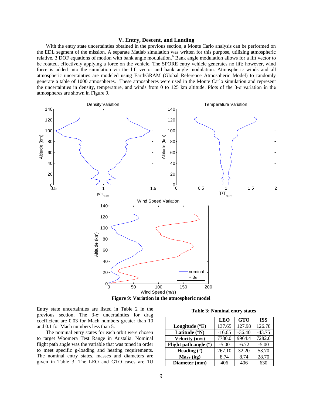### **V. Entry, Descent, and Landing**

With the entry state uncertainties obtained in the previous section, a Monte Carlo analysis can be performed on the EDL segment of the mission. A separate Matlab simulation was written for this purpose, utilizing atmospheric relative, 3 DOF equations of motion with bank angle modulation.<sup>6</sup> Bank angle modulation allows for a lift vector to be rotated, effectively applying a force on the vehicle. The SPORE entry vehicle generates no lift; however, wind force is added into the simulation via the lift vector and bank angle modulation. Atmospheric winds and all atmospheric uncertainties are modeled using EarthGRAM (Global Reference Atmospheric Model) to randomly generate a table of 1000 atmospheres. These atmospheres were used in the Monte Carlo simulation and represent the uncertainties in density, temperature, and winds from 0 to 125 km altitude. Plots of the 3-σ variation in the atmospheres are shown in [Figure 9.](#page-9-0)



**Figure 9: Variation in the atmospheric model**

<span id="page-9-0"></span>Entry state uncertainties are listed in [Table 2](#page-8-2) in the previous section. The  $3-\sigma$  uncertainties for drag coefficient are 0.03 for Mach numbers greater than 10 and 0.1 for Mach numbers less than 5.

The nominal entry states for each orbit were chosen to target Woomera Test Range in Austalia. Nominal flight path angle was the variable that was tuned in order to meet specific g-loading and heating requirements. The nominal entry states, masses and diameters are given in [Table 3.](#page-9-1) The LEO and GTO cases are 1U

|  |  | <b>Table 3: Nominal entry states</b> |  |  |
|--|--|--------------------------------------|--|--|
|--|--|--------------------------------------|--|--|

<span id="page-9-1"></span>

|                         | <b>LEO</b> | <b>GTO</b> | <b>ISS</b> |
|-------------------------|------------|------------|------------|
| Longitude $(^{\circ}E)$ | 137.65     | 127.98     | 126.78     |
| Latitude (°N)           | $-16.65$   | $-36.40$   | $-43.75$   |
| <b>Velocity</b> (m/s)   | 7780.0     | 9964.4     | 7282.0     |
| Flight path angle $(°)$ | $-5.00$    | $-6.72$    | $-5.00$    |
| Heading $(°)$           | 267.10     | 32.20      | 53.70      |
| Mass (kg)               | 8.74       | 8.74       | 28.70      |
| Diameter (mm)           | 406        | 406        | 630        |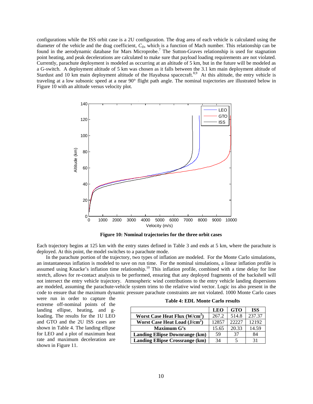configurations while the ISS orbit case is a 2U configuration. The drag area of each vehicle is calculated using the diameter of the vehicle and the drag coefficient,  $C<sub>D</sub>$ , which is a function of Mach number. This relationship can be found in the aerodynamic database for Mars Microprobe.<sup>7</sup> The Sutton-Graves relationship is used for stagnation point heating, and peak decelerations are calculated to make sure that payload loading requirements are not violated. Currently, parachute deployment is modeled as occurring at an altitude of 5 km, but in the future will be modeled as a G-switch. A deployment altitude of 5 km was chosen as it falls between the 3.1 km main deployment altitude of Stardust and 10 km main deployment altitude of the Hayabusa spacecraft.<sup>8,9</sup> At this altitude, the entry vehicle is traveling at a low subsonic speed at a near 90° flight path angle. The nominal trajectories are illustrated below in [Figure 10](#page-10-0) with an altitude versus velocity plot.



**Figure 10: Nominal trajectories for the three orbit cases**

<span id="page-10-0"></span>Each trajectory begins at 125 km with the entry states defined in [Table 3](#page-9-1) and ends at 5 km, where the parachute is deployed. At this point, the model switches to a parachute mode.

In the parachute portion of the trajectory, two types of inflation are modeled. For the Monte Carlo simulations, an instantaneous inflation is modeled to save on run time. For the nominal simulations, a linear inflation profile is assumed using Knacke's inflation time relationship.<sup>10</sup> This inflation profile, combined with a time delay for line stretch, allows for re-contact analysis to be performed, ensuring that any deployed fragments of the backshell will not intersect the entry vehicle trajectory. Atmospheric wind contributions to the entry vehicle landing dispersions are modeled, assuming the parachute-vehicle system trims to the relative wind vector. Logic iss also present in the code to ensure that the maximum dynamic pressure parachute constraints are not violated. 1000 Monte Carlo cases

were run in order to capture the extreme off-nominal points of the landing ellipse, heating, and gloading. The results for the 1U LEO and GTO and the 2U ISS cases are shown in [Table 4.](#page-10-1) The landing ellipse for LEO and a plot of maximum heat rate and maximum deceleration are shown in [Figure 11.](#page-11-0)

| <b>Table 4: EDL Monte Carlo results</b> |  |  |  |  |  |
|-----------------------------------------|--|--|--|--|--|
|-----------------------------------------|--|--|--|--|--|

<span id="page-10-1"></span>

|                                           | <b>LEO</b> | <b>GTO</b> | <b>ISS</b> |
|-------------------------------------------|------------|------------|------------|
| Worst Case Heat Flux (W/cm <sup>2</sup> ) | 267.2      | 514.8      | 237.37     |
| Worst Case Heat Load $(J/cm2)$            | 12857      | 22227      | 12192      |
| Maximum G's                               | 15.65      | 20.33      | 14.59      |
| <b>Landing Ellipse Downrange (km)</b>     | 59         | 37         | 84         |
| <b>Landing Ellipse Crossrange (km)</b>    | 34         |            | 31         |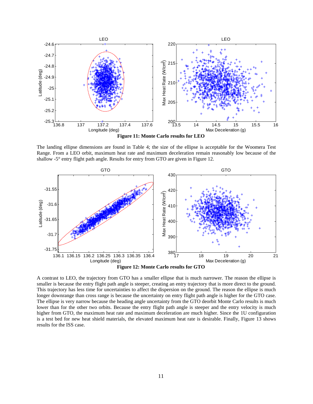

**Figure 11: Monte Carlo results for LEO**

<span id="page-11-0"></span>The landing ellipse dimensions are found in [Table 4;](#page-10-1) the size of the ellipse is acceptable for the Woomera Test Range. From a LEO orbit, maximum heat rate and maximum deceleration remain reasonably low because of the shallow -5° entry flight path angle. Results for entry from GTO are given in [Figure 12.](#page-11-1)



<span id="page-11-1"></span>A contrast to LEO, the trajectory from GTO has a smaller ellipse that is much narrower. The reason the ellipse is smaller is because the entry flight path angle is steeper, creating an entry trajectory that is more direct to the ground. This trajectory has less time for uncertainties to affect the dispersion on the ground. The reason the ellipse is much longer downrange than cross range is because the uncertainty on entry flight path angle is higher for the GTO case. The ellipse is very narrow because the heading angle uncertainty from the GTO deorbit Monte Carlo results is much lower than for the other two orbits. Because the entry flight path angle is steeper and the entry velocity is much higher from GTO, the maximum heat rate and maximum deceleration are much higher. Since the 1U configuration is a test bed for new heat shield materials, the elevated maximum heat rate is desirable. Finally, [Figure 13](#page-12-0) shows results for the ISS case.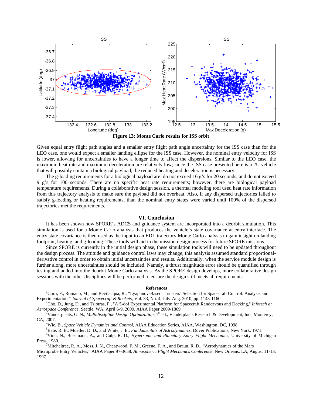

**Figure 13: Monte Carlo results for ISS orbit**

<span id="page-12-0"></span>Given equal entry flight path angles and a smaller entry flight path angle uncertainty for the ISS case than for the LEO case, one would expect a smaller landing ellipse for the ISS case. However, the nominal entry velocity for ISS is lower, allowing for uncertainties to have a longer time to affect the dispersions. Similar to the LEO case, the maximum heat rate and maximum deceleration are relatively low; since the ISS case presented here is a 2U vehicle that will possibly contain a biological payload, the reduced heating and deceleration is necessary.

The g-loading requirements for a biological payload are: do not exceed 16 g's for 20 seconds, and do not exceed 9 g's for 100 seconds. There are no specific heat rate requirements; however, there are biological payload temperature requirements. During a collaborative design session, a thermal modeling tool used heat rate information from this trajectory analysis to make sure the payload did not overheat. Also, if any dispersed trajectories failed to satisfy g-loading or heating requirements, than the nominal entry states were varied until 100% of the dispersed trajectories met the requirements.

#### **VI. Conclusion**

It has been shown how SPORE's ADCS and guidance system are incorporated into a deorbit simulation. This simulation is used for a Monte Carlo analysis that produces the vehicle's state covariance at entry interface. The entry state covariance is then used as the input to an EDL trajectory Monte Carlo analysis to gain insight on landing footprint, heating, and g-loading. These tools will aid in the mission design process for future SPORE missions.

Since SPORE is currently in the initial design phase, these simulation tools will need to be updated throughout the design process. The attitude and guidance control laws may change; this analysis assumed standard proportionalderivative control in order to obtain initial uncertainties and results. Additionally, when the service module design is further along, more uncertainties should be included. Namely, a thrust magnitude error should be quantified through testing and added into the deorbit Monte Carlo analysis. As the SPORE design develops, more collaborative design sessions with the other disciplines will be performed to ensure the design still meets all requirements.

**References**<br><sup>1</sup>Curti, F., Romano, M., and Bevilacqua, R., "Lyapunov-Based Thrusters' Selection for Spacecraft Control: Analysis and Experimentation," *Journal of Spacecraft & Rockets*, Vol. 33, No. 4, July-Aug. 2010, pp. 1143-1160. <sup>2</sup>

<sup>2</sup>Cho, D., Jung, D., and Tsiotras, P., "A 5-dof Experimental Platform for Spacecraft Rendezvous and Docking," *Infotech at Aerospace Conference*, Seattle, WA, April 6-9, 2009, AIAA Paper 2009-1869 <sup>3</sup>

<sup>3</sup>Vanderplaats, G. N., *Multidiscipline Design Optimization*, 1<sup>st</sup> ed., Vanderplaats Research & Development, Inc., Monterey, CA, 2007.

Wie, B., *Space Vehicle Dynamics and Control*, AIAA Education Series, AIAA, Washington, DC, 1998. <sup>5</sup>

<sup>5</sup>Bate, R. B., Mueller, D. D., and White, J. E., *Fundamentals of Astrodynamics*, Dover Publications, New York, 1971.

<sup>6</sup>Vinh, N., Busemann, A., and Culp, R. D., *Hypersonic and Planetary Entry Flight Mechanics*, University of Michigan Press, 1980.

<sup>7</sup>Mitcheltree, R. A., Moss, J. N., Cheatwood, F. M., Greene, F. A., and Braun, R. D., "Aerodynamics of the Mars Microprobe Entry Vehicles," AIAA Paper 97-3658, *Atmospheric Flight Mechanics Conference*, New Orleans, LA, August 11-13, 1997.